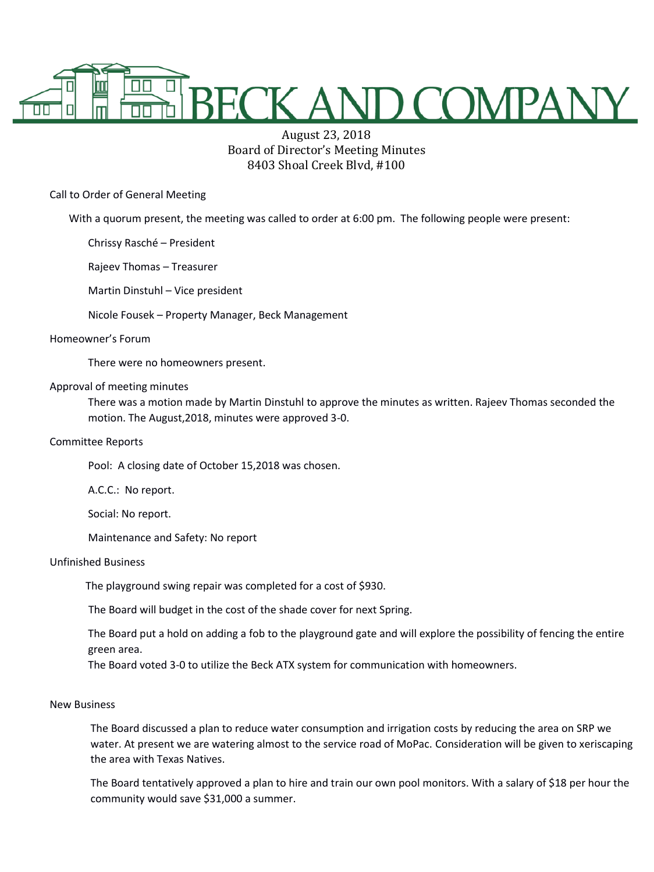

# August 23, 2018 Board of Director's Meeting Minutes 8403 Shoal Creek Blvd, #100

Call to Order of General Meeting

With a quorum present, the meeting was called to order at 6:00 pm. The following people were present:

Chrissy Rasché – President

Rajeev Thomas – Treasurer

Martin Dinstuhl – Vice president

Nicole Fousek – Property Manager, Beck Management

## Homeowner's Forum

There were no homeowners present.

## Approval of meeting minutes

There was a motion made by Martin Dinstuhl to approve the minutes as written. Rajeev Thomas seconded the motion. The August,2018, minutes were approved 3-0.

#### Committee Reports

Pool: A closing date of October 15,2018 was chosen.

A.C.C.: No report.

Social: No report.

Maintenance and Safety: No report

# Unfinished Business

The playground swing repair was completed for a cost of \$930.

The Board will budget in the cost of the shade cover for next Spring.

The Board put a hold on adding a fob to the playground gate and will explore the possibility of fencing the entire green area.

The Board voted 3-0 to utilize the Beck ATX system for communication with homeowners.

## New Business

The Board discussed a plan to reduce water consumption and irrigation costs by reducing the area on SRP we water. At present we are watering almost to the service road of MoPac. Consideration will be given to xeriscaping the area with Texas Natives.

The Board tentatively approved a plan to hire and train our own pool monitors. With a salary of \$18 per hour the community would save \$31,000 a summer.